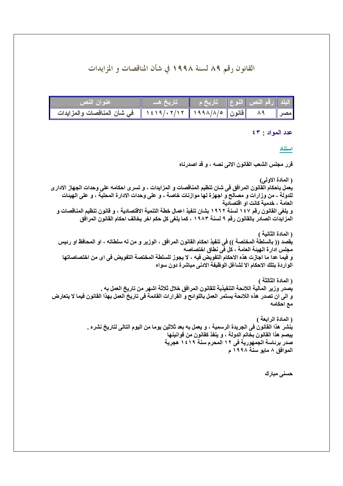# القانون رقم ٨٩ لسنة ١٩٩٨ في شأن المناقصات و المزايدات

| عنوان النص                  | تاريخ هـــا                                          | <u> الْبِلْد   رقم النِّص   النّوع   _ تاريخ م _</u> |  |     |
|-----------------------------|------------------------------------------------------|------------------------------------------------------|--|-----|
| في شأن المناقصات والمزايدات | $\sqrt{1213/x'/17}$   199۸/۸/0    قانون    ۱۶۱۹/۰۲/۱ |                                                      |  | مصر |

عدد المواد : ٤٣

استثاد

قرر مجلس الشعب القانون الاتي نصه ، و قد اصدرناه

( المادة الاولمي) يعمل باحكام القانون المرافق في شان تنظيم المناقصات و المزايدات ، و تسرى احكامه على وحدات الجهاز الادار ى للدولة ــ من وزارات و مصالح و اجهزة لها موازنات خاصة ــ و على وحدات الادارة المحلية ، و على الهيئات العامة ، خدمية كانت او اقتصادية و يلغي القانون رقم ١٤٧ لسنة ١٩٦٢ بشان تنفيذ اعمال خطة التنمية الاقتصادية ، و قانون تنظيم المناقصات و المزايدات الصادر بالقانون رقم ٩ لسنة ١٩٨٣ ، كما يلغي كل حكم اخر يخالف احكام القانون المرافق

( المادة الثانية ) يقصد (( بالسلطة المختصة )) في تنفيذ احكام القانون المرافق ، الوزير و من له سلطاته ، او المحافظ او رئيس مجلس ادارة الهيئة العامة ، كل في نطاق اختصاصه و فيما عدا ما اجازت هذه الاحكام التفويض فيه ، لا يجوز للسلطة المختصة التفويض في اي من اختصاصاتها الواردة بتلك الاحكام الا لشاغل الوظيفة الادنى مباشرة دون سواه

( المادة الثالثة ) يُصدر وزير المالية اللائحة التنفيذية للقانون المرافق خلال ثلاثة اشهر من تاريخ العمل به . و الى ان تصدر هذه اللائحة يستمر العمل باللوائح و القرارات القائمة في تاريخ العمل بهذا القانون فيما لا يتعارض مع احكامه

> ( المادة الرابعة ) ينشر. هذا القانون في الجريدة الرسمية ، و يعمل به بعد ثلاثين يوما من اليوم التالي لتاريخ نشر ه . يبصم هذا القانون بخاتم الدولة ، و ينفذ كقانون من قوانينها صدر برئاسة الجمهورية في ١٢ المحرم سنة ١٤١٩ هجرية الموافق ٨ مايو سنة ١٩٩٨ م

> > حسني مبارك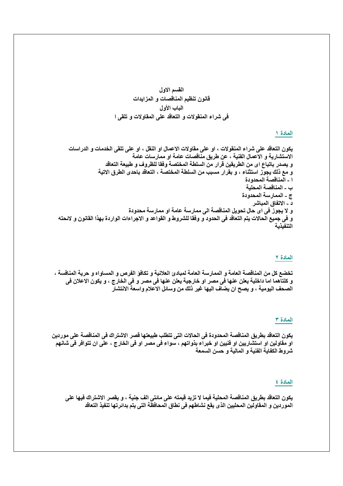القسم الاول قانون تنظيم المناقصات و المزايدات الباب الأول في شراع المنقولات و التعاقد على المقاولات و تلقى ا

### المادة ١

### المادة ٢

تخضع كل من المناقصة العامة و الممارسة العامة لمبادئ العلانية و تكافؤ الفرص و المساواه و حرية المنافسة ، و كلتآهما اما داخلية يعلن عنها في مصر او خارجية يعلن عنها في مصر و في الخارج ، و يكون الاعلان في الصحف اليومية ، و يصح ان يضاف اليها غير ذلك من وسائل الاعلام واسعة الانتشار

#### المادة ٣

يكون التعاقد بطريق المناقصة المحدودة في الحالات التي تتطلب طبيعتها قصر الاشتراك في المناقصة على موردين او مقاولين او استشاريين او فنيين او خبراء بذواتهم ، سواء في مصر او في الخارج ، على ان تتوافر في شانهم شر وط الكفاية الفنية و المالية و حسن السمعة

#### المادة ٤

يكون التعاقد بطريق المناقصة المحلية فيما لا تزيد قيمته على مائتى الف جنية ، و يقصر الاشتراك فيها على الموردين و المقاولين المحليين الذي يقع نشاطهم في نطاق المحافظة التي يتم بدائرتها تنفيذ التعاقد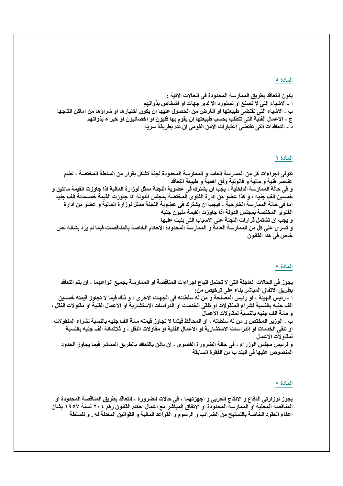يكون التعاقد بطريق الممارسة المحدودة في الحالات الاتية : ا ــ الاشياء التي لا تصنع او تستورد الا لدى جهات او اشخاص بذواتهم ب ـ الاشياء التي تقتضي طبيعتها او الغرض من الحصول عليها ان يكون اختيار ها او شراوَ ها من اماكن انتاجها ج ـ الاعمال الفنية التي تتطلب بحسب طبيعتها ان يقوم بها فنيون او اخصائيون او خبراء بذواتهم د ـ التعاقدات التي تقتضي اعتبارات الامن القومي ان تتم بطريقة سرية

#### المادة ٢

تتولى اجراءات كل من الممارسة العامة و الممارسة المحدودة لجنة تشكل بقرار من السلطة المختصة ، تضم عناصر فنية و مالية و قانونية وفق اهمية و طبيعة التعاقد و في حالة الممارسة الداخلية ، يجب ان يشترك في عضوية اللجنة ممثل لوزارة المالية اذا جاوزت القيمة مائتين و خمسين الف جنيه ، و كذا عضو من ادار ة الفتوى المختصة بمجلس الدولة اذا جاوزت القيمة خمسمائة الف جنيه اما في حالة الممارسة الخارجية ، فيجب ان يشترك في عضوية اللجنة ممثل لوزارة المالية و عضو من ادارة الفتوى المختصة بمجلس الدولة اذا جاوزت القيمة مليون جنيه و يجب ان تشتمل قرارات اللجنة على الاسباب التي بنيت عليها و تسرى على كل من الممارسة العامة و الممارسة المحدودة الاحكام الخاصة بالمناقصات فيما لم يرد بشانه نص خاص في هذا القانون

#### المادة ٧

يجوز في الحالات العاجلة التي لا تحتمل اتباع اجراءات المناقصة او الممارسة بجميع انواعهما ، ان يتم التعاقد بطريق الاتفاق المباشر بناء على ترخيص من:

ا ــ رئيس الـهيئـة ، او رئيس المصلحـة و من لـه سلطاتـه في الجهات الاخر ي ، و ذلك فيمـا لا تجاوز قيمته خمسين الف جنيه بالنسبة لشراء المنقولات او تلقى الخدمات او الدراسات الاستشارية او الاعمال الفنية او مقاولات النقل ، و مائة الف جنيه بالنسبة لمقاولات الاعمال

ب ـ الوزير المختص و من له سلطاته ، او المحافظ فيثما لا تجاوز قيمته مائة الف جنيه بالنسبة لشراع المنقولات او تلقى الخدمات او الدراسات الاستشارية او الاعمال الفنية او مقاولات النقل ، و ثلاثمائة الف جنيه بالنسبة لمقاولات الاعمال

و لرئيس مجلس الوزراء ، في حالة الضرورة القصوى ، ان ياذن بالتعاقد بالطريق المباشر فيما يجاوز الحدود المنصوص عليها في البند ب من الفقرة السابقة

#### المادة ٨

يجوز لوزارتي الدفاع و الانتاج الحربي و اجهزتهما ، في حالات الضرورة ، التعاقد بطريق المناقصة المحدودة او المناقصة المحلية او الممارسة المحدودة او الاتفاق المباشر مع اعمال احكام القانون رقم ٢٠٤ لسنة ١٩٥٧ بشان اعفاء العقود الخاصة بالتسليح من الضرائب و الرسوم و القواعد المالية و القوانين المعدلة له . و للسلطة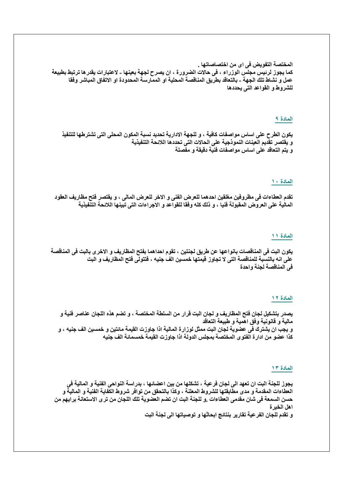المختصة التفويض في اي من اختصاصاتها . كما يجوز لرئيس مجلس الوزراء ، في حالات الضرورة ، ان يصرح لجهة بعينها ـ لاعتبارات يقدرها ترتبط بطبيعة عمل و نشاط تلك الجهة ـ بالتعاقد بطريق المناقصة المحلية او الممارسة المحدودة او الاتفاق المباشر وفقا للشروط و القواعد التي يحددها

# المادة ٩

يكون الطرح على اساس مواصفات كافية ، و للجهة الادارية تحديد نسبة المكون المحلي التي تشترطها للتنفيذ و يقتصر تقديم العينات النموذجية على الحالات التي تحددها اللائحة التنفيذية و يتم التعاقد على اساس مواصفات فنية دقيقة و مفصلة

#### المادة ١٠

تقدم العطاءات في مظروفين مغلقين احدهما للعرض الفني و الاخر للعرض المالي ، و يقتصر فتح مظاريف العقود المالية على العروض المقبولة فنيا ، و ذلك كله وفقا للقواعد و الاجراءات التي تبينها اللائحة التنفيذية

#### المادة ١١

يكون البت في المناقصات بانواعها عن طريق لجنتين ، تقوم احداهما بفتح المظاريف و الاخرى بالبت في المناقصة على انه بالنسبة للمناقصة التي لا تجاوز قيمتها خمسين الفٌ جنيه ، فتتولَّى فتح المظاريف و البت في المناقصة لجنة وإحدة

#### المادة ١٢

يصدر بتشكيل لجان فتح المظاريف و لجان البت قرار من السلطة المختصة ، و تضم هذه اللجان عناصر فنية و مالية و قانونية وفق اهمية و طبيعة التعاقد و يجب ان يشترك في عضوية لجان البت ممثل لوزارة المالية اذا جاوزت القيمة مائتين و خمسين الف جنيه ، و كذا عضو من ادارة الفتوى المختصة بمجلس الدولة اذا جاوزت القيمة خمسمائة الف جنيه

#### المادة ١٣

يجوز للجنة البت ان تعهد الى لجان فرعية ، تشكلها من بين اعضائها ، بدراسة النواحي الفنية و المالية في العطاءات المقدمة و مدى مطابقتها للشروط المعلنة ، وكذا بالتحقق من توافر شروط الكفاية الفنية و المالية و حسن السمعة في شان مقدمي العطاءات .و للجنة البت ان تضم العضوية تلك اللجان من تر ي الاستعانة برايهم من اهل الخبر ة و تقدم للجان الفر عية تقارير بنتائج ابحاثها و توصياتها الى لجنة البت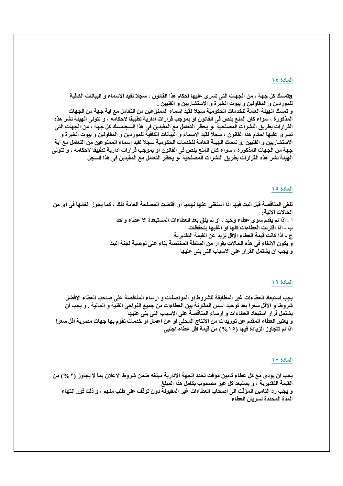aتمسك كل جهة ، من الجهات الت*ي* تسر ى عليها احكام هذا القانون ، سجلا لقيد الاسماء و البيانات الكافية للموردين و المقاولين و بيوت الخبرة و الاستشاريين و الفنيين .

و تمسك الهيئة العامة للخدمات الحكومية سجلا لقيد اسماء الممنوعين من التعامل مع اية جهة من الجهات المذكورة ، سواء كان المنع بنص في القانون او بموجب قرارات ادارية تطبيقا لاحكامه ، و تتولى الهيئة نشر هذه القرارات بطريق النشرات المصلحية ،و يحظر التعامل مع المقيدين في هذا السجلمسك كل جهة ، من الجهات التي تسرى عليها احكام هذا القانون ، سجلا لقيد الاسماء و البيانات الكافية للموردين و المقاولين و بيوت الخبرة و الاستشاريين و الفنيين .و تمسك الهيئة العامة للخدمات الحكومية سجلا لقيد اسماء الممنوعين من التعامل مع اية جهة من الجهات المذكورة ، سواء كان المنع بنص في القانون او بموجب قرارات ادارية تطبيقا لاحكامه ، و تتولى الهيئة نشر. هذه القرارات بطريق النشرات المصلحية ،و يحظر التعامل مع المقيدين في هذا السجل

#### المادة ١٥

تلغي المناقصة قبل البت فيها اذا استغنى عنها نهائيا او اقتضت المصلحة العامة ذلك ، كما يجوز الغائها في اي من الحالات الاتية: ا - اذا لم يقدم سوى عطاء وحيد ، او لم ينق بعد العطاءات المستبعدة الا عطاء واحد ب ـ اذا اقترنت العطاءات كلها او اغلبها بتحفظات ج \_ اذا كانت قيمة العطاء الاقل تزيد عن القيمة التقديرية و يكون الالغاء في هذه الحالات بقرار من السلطة المختصة بناء على توصية لجنة البت و يجب ان يشتمل القرار على الاسباب التي بني عليها

### المادة ١٦

يجب استبعاد العطاءات غير المطابقة للشروط او المواصفات و ارساء المناقصة على صاحب العطاء الافضل شروطًا و الأقل سعرا بعد توحيد اسس المقارنة بين العطاءات من جميع النواحي الفنية و المالية . و يجب ان يشتمل قرار استبعاد العطاءات و ارساء المناقصة على الاسباب التى بنى عليها و يعتبر العطاء المقدم عن توريدات من الانتاج المحلي او عن اعمال او خدمات تقوم بها جهات مصرية اقل سعر ا اذا لم تتجاوز الزيادة فيها (١٥%) من قيمة اقل عطاء اجنبي

### المادة ١٧

يجب ان يؤدي مع كل عطاء تامين موَقّت تحدد الجهة الادارية مبلغه ضمن شروط الاعلان بما لا يجاوز. (٢ %) من القيمة التقديرية ، و يستبعد كل غير مصحوب بكامل هذا المبلغ و يجب رد التامين الموْقت الى اصحاب العطاءات غير المقبولة دون توقف على طلب منهم ، و ذلك فور انتهاء المدة المحددة لسريان العطاء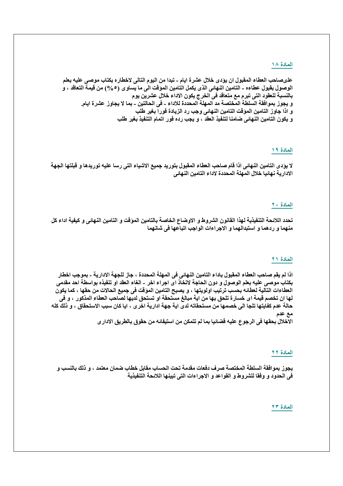علىصاحب العطاء المقبول ان يؤدى خلال عشرة ايام ـ تبدا من اليوم التالي لاخطاره بكتاب موصى عليه بعلم الوصول بقبول عطاءه ـ التامين النهائي الذي يكمل التامين المؤقت الى ما يساوي (0 %) من قيمة التعاقد ، و بالنسبة للعقود التي تبرم مع متعاقد في الخرج يكون الاداء خلال عشرين يوم و يجوز بموافقة السلطة المختصة مد المهلة المحددة للاداء ـ في الحالتين ـ بما لا يجاوز عشرة ايام. و اذا جاوز التامين الموقت التامين النهائي وجب رد الزيادة فورا بغير طلب و يكون التامين النهائي ضامنا لتنفيذ العقد ، و يجب رده فور اتمام التنفيذ بغير طلب

### المادة ١٩

لا يؤدى التامين النهائي اذا قام صاحب العطاء المقبول بتوريد جميع الاشياء التي رسا عليه توريدها و قبلتها الجهة الادارية نهائيا خلال المهلة المحددة لاداء التامين النهائي

### المادة ٢٠

تحدد اللائحة التنفيذية لهذا القانون الشروط و الاوضاع الخاصة بالتامين المؤقت و التامين النهائي و كيفية اداء كل منهما و ردهما و استبدالهما و الاجراءات الواجب اتباعها في شانهما

### المادة ٢١

اذا لم يقم صاحب العطاء المقبول باداء التامين النهائي في المهلة المحددة ، جاز للجهة الادارية ـ بموجب اخطار بكتاب موصى عليه بعلم الوصول و دون الحاجة لاتخاذ اي اجراء اخر - الغاء العقد او تنفيذه بواسطة احد مقدمي العطاءات التالية لعطائه بحسب ترتيب اولويتها ، و يصبح التامين المؤقت في جميع الحالات من حقها ، كما يكون لها ان تخصم قيمة اى خسارة تلحق بها من اية مبالغ مستحقة او تستحق لديها لصاحب العطاء المذكور ، و ف*ى* حالة عدم كفايتها تلجا الى خصمها من مستحقاته لدى اية جهة ادارية اخر ى ، ايا كان سبب الاستحقاق ، و ذلك كله مع عدم

الاخلال بحقها في الرجوع عليه قضائيا بما لم تتمكن من استيفائه من حقوق بالطريق الادار ي

#### المادة ٢٢

يجوز بموافقة السلطة المختصة صرف دفعات مقدمة تحت الحساب مقابل خطاب ضمان معتمد ، و ذلك بالنسب و في الحدود و وفقا للشروط و القواعد و الاجراءات التي تبينها اللائحة التنفيذية

### المادة ٢٣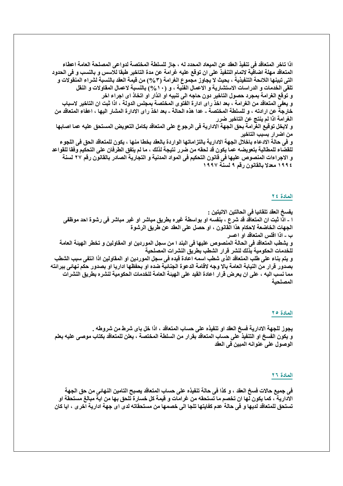اذا تاخر المتعاقد في تنفيذ العقد عن الميعاد المحدد لـه ، جاز للسلطة المختصة لدواعي المصلحة العامة اعطاء المتعاقد مهلة اضافية لاتمام التنفيذ على ان توقع عليه غرامة عن مدة التاخير طبقا للاسس و بالنسب و في الحدود التي تبينها اللائحة التنفيذية ، بحيث لا يجاوز مجموع الغرامة (٣٥/٣) من قيمة العقد بالنسبة لشراع المنقولات و تلقى الخدمات و الدراسات الاستشارية و الاعمال الفنية ، و (١٠/%) بالنسبة لاعمال المقاولات و النقل و توقع الغرامة بمجرد حصول التاخير دون حاجه الى تنبيه او انذار او اتخاذ اى اجراء اخر و يعفي المتعاقد من الغرامة ، بعد اخذ راى ادارة الفتوى المختصة بمجلس الدولة ، اذا ثبت ان التاخير لاسباب خارجة عن ارادته ، و للسلطة المختصة ـ عدا هذه الحالة ـ بعد اخذ راى الادارة المشار اليها ، اعفاء المتعاقد من الغرامة اذا لم ينتج عن التاخير ضرر و لايخل توقيع الغرامة بحق الجهة الادارية في الرجوع على المتعاقد بكامل التعويض المستحق عليه عما اصابها من اضرار بسبب التاخير و في حالة الادعاء باخلال الجهة الادارية بالتزاماتها الواردة بالعقد بخطا منها ، يكون للمتعاقد الحق في اللجوء للقضاء للمطالبة بتعويضه عما يكون قد لحقه من ضرر نتيجة لذلك ، ما لم يتفق الطرفان على التحكيم وفقا للقواعد و الاجراءات المنصوص عليها في قانون التحكيم في المواد المدنية و التجارية الصادر بالقانون رقم ٢٧ لسنة ١٩٩٤ معدلا بالقانون رقم ٩ لسنة ١٩٩٧

### المادة ٢٤

يفسخ العقد تلقائيا في الحالتين الاتيتين : ا ـ اذا ثبت ان المتعاقد قد شرع ، بنفسه او بواسطة غيره بطريق مباشر او غير مباشر في رشوة احد موظفي الجهات الخاضعة لاحكام هذا القانون ، او حصل على العقد عن طريق الرشوة ب ـ اذا افلس المتعاقد او اعسر و يشطب المتعاقد في الحالة المنصوص عليها في البند ا من سجل الموردين او المقاولين و تخطر الهيئة العامة للخدمات الحكومية بذلك لنشر قرار الشطب بطريق النشرات المصلحية و يتم بناء على طلب المتعاقد الذي شطب اسمه اعادة قيده في سجل الموردين او المقاولين اذا انتفى سبب الشطب بصدور قرار من النيابة العامة بالا وجه لاقامة الدعوة الجنائية ضده او بحفظها اداريا او بصدور حكم نهائى ببرائته مما نسب اليه ، على ان يعرض قرار اعادة القيد على الهيئة العامة للخدمات الحكومية لنشره بطريق النشرات المصلحبة

### المادة ٢٥

يجوز للجهة الادارية فسخ العقد او تنفيذه على حساب المتعاقد ، اذا خل باى شرط من شروطه . و يكون الفسخ او التنفيذ على حساب المتعاقد بقرار من السلطة المختصة ، يعلن للمتعاقد بكتاب موصى عليه بعلم الوصول على عنوانه المبين في العقد

#### المادة ٢٦

في جميع حالات فسخ العقد ، و كذا في حالة تنفيذه على حساب المتعاقد يصبح التامين النـهائي من حق الجهة الادارية ، كما يكون لها ان تخصم ما تستحقه من غرامات و قيمة كل خسارة تلحق بها من اية مبالغ مستحقة او تستحق للمتعاقد لديها و في حالة عدم كفايتها تلجا الى خصمها من مستحقاته لدى اى جهة ادارية اخر ى ، ايا كان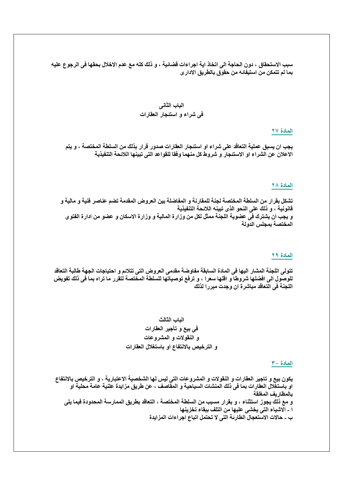سبب الاستحقاق ، دون الحاجة الى اتخاذ اية اجراءات قضائية ، و ذلك كله مع عدم الاخلال بحقها في الرجوع عليه بما لم تتمكن من استيفائه من حقوق بالطريق الادار ي

#### المادة ٢٧

يجب ان يسبق عملية التعاقد على شراء او استنجار العقارات صدور قرار بذلك من السلطة المختصة ، و يتم الاعلان عن الشراء او الاستئجار و شروط كل منهما وفقا للقواعد التي تبينها اللائحة التنفيذية

### المادة ٢٨

تشكل بقرار من السلطة المختصة لجنة للمقارنة و المفاضلة بين العروض المقدمة تضم عناصر فنية و مالية و قانونية ، و ذلك على النحو الذي تبينه اللائحة التنفيذية و يجب ان يشترك في عضوية اللجنة ممثل لكل من وزارة المالية و وزارة الاسكان و عضو من ادارة الفتوى المختصة بمجلس الدولة

#### المادة ٢٩

تتولى اللجنة المشار اليها في المادة السابقة مفاوضة مقدمي العروض التي تتلائم و احتياجات الجهة طالبة التعاقد للوصول الى افضلها شروطا و اقلها سعرا ، و ترفع توصياتها للسلطة المختصة لتقرر ما تراه بما في ذلك تفويض اللجنة في التعاقد مباشرة ان وجدت مبررا لذلك

### الباب الثالث

# في بيع و تأجير العقارات و النقولات و المشروعات و الترخيص بالانتفاع او باستغلال العقارات

#### المادة ٣٠

يكون بيع و تاجير العقارات و النقولات و المشروعات التي ليس لها الشخصية الاعتبارية ، و الترخيص بالانتفاع او باستغلال العقارات بما في ذلك المنشات السياحية و المقاصف ، عن طريق مزايدة علنية عامة محلية او بالمظاريف المغلقة و مع ذلك يجوز استثناء ، و بقرار مسبب من السلطة المختصة ، التعاقد بطريق الممارسة المحدودة فيما يلي ا ـ الاشياء التي يخشى عليها من التلف ببقاء تخزينها ب ـ حالات الاستعجال الطارئة التي لا تحتمل اتباع اجراءات المزايدة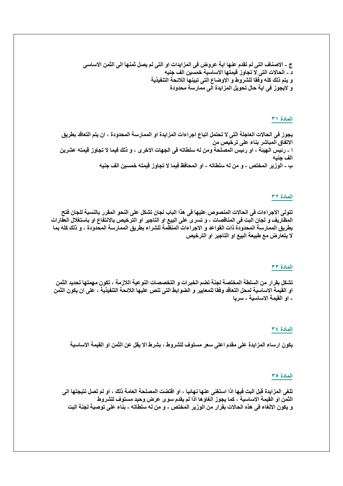ج ـ الاصناف التي لم تقدم عنها اية عروض في المزايدات او التي لم يصل ثمنها الى الثمن الاساسي د ـ الحالات التي لا تجاوز قيمتها الاساسية خمسين الف جنيه و يتم ذلك كله وفقا للشروط و الاوضاع التي تبينها اللائحة التنفيذية و لايجوز في اية حال تحويل المزايدة الى ممارسة محدودة

# المادة ٣١

يجوز في الحالات العاجلة التي لا تحتمل اتباع اجراءات المزايدة او الممارسة المحدودة ، ان يتم التعاقد بطريق الاتفاق المباشر بناء على ترخيص من ا ــ رئيس الـهيئـة ، او رئيس المصلحة ومن له سلطاته في الجهات الاخرى ، و ذلك فيما لا تجاوز قيمته عشرين الف جنيه ب ــ الوزير المختص ــ و من له سلطاته ــ او المحافظ فيما لا تجاوز قيمته خمسين الف جنيه

### العادة ٣٢

تتولى الاجراءات في الحالات المنصوص عليها في هذا الباب لجان تشكل على النحو المقرر بالنسبة للجان فتح المظاريف و لجان البت في المناقصات ، و تسرى على البيع او التاجير او الترخيص بالانتفاع او باستغلال العقارات بطريق الممارسة المحدودة ذات القواعد و الاجراءات المنظمة للشراء بطريق الممارسة المحدودة ، و ذلك كله بما لا يتعارض مع طبيعة البيع او التاجير او الترخيص

#### المعادة ٣٣

تشكل بقرار من السلطة المختصة لجنة تضم الخبرات و التخصصات النوعية اللازمة ، تكون مهمتها تحديد الثمن او القيمة الاساسية لمحل التعاقد وفقا للمعايير و الضوابط التي تنص عليها اللائحة التنفيذية ، على ان يكون الثمن ـ او القيمة الاساسية ـ سريا

#### المادة ٣٤

يكون ارساء المزايدة على مقدم اعلى سعر مستوف للشروط ، بشرط الا يقل عن الثمن او القيمة الاساسية

### المادة ٣٥

تلغي المزايدة قبل البت فيها اذا استغنى عنها نهائيا ، او اقتضت المصلحة العامة ذلك ، او لم تصل نتيجتها الى الثمن او القيمة الاساسية ، كما يجوز الغاؤها اذا لم يقدم سوى عرض وحيد مستوف للشروط و يكون الالغاء في هذه الحالات بقرار من الوزير المختص ـ و من له سلطاته ـ بناء على توصية لجنة البت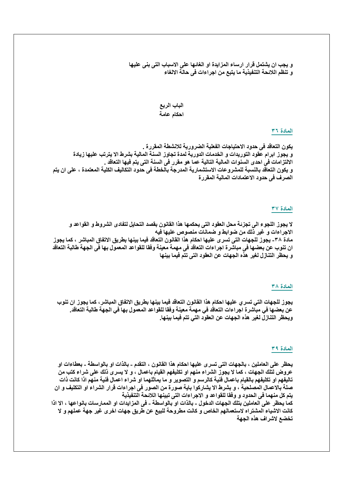و يجب ان يشتمل قرار ارساء المزايدة او الغائها على الاسباب التي بني عليها و تنظم اللائحة التنفيذية ما يتبع من اجراءات في حالة الالغاء

# الباب الربع احكام عامة

### المادة ٣٦

يكون التعاقد في حدود الاحتياجات الفعلية الضرورية للانشطة المقررة . و يجوز ابرام عقود التوريدات و الخدمات الدورية لمدة تجاوز السنة المالية بشرط الا يترتب عليها زيادة الالتزامات في احدى السنوات المالية التالية عما هو مقرر في السنة التي يتم فيها التعاقد . و يكون التعاقد بالنسبة للمشروعات الاستشمارية المدرجة بالخطة في حدود التكاليف الكلية المعتمدة ، على ان يتم الصرف في حدود الاعتمادات المالية المقررة

### المادة ٣٧

لا يجوز اللجوع الى تجزئة محل العقود التي يحكمها هذا القانون بقصد التحايل لتفادي الشروط و القواعد و الاجراءات و غير ذلك من ضوابط و ضمانات منصوص عليها فيه مادة ٣٨- يجوز للجهات التي تسرى عليها احكام هذا القانون التعاقد فيما بينها بطريق الاتفاق المباشر ، كما يجوز ان تنوب عن بعضها في مباشرة اجراءات التعاقد في مهمة معينة وفقا للقواعد المعمول بها في الجهة طالبة التعاقد و يحظر التنازل لغير هذه الجهات عن العقود التي تتم فيما بينها

#### المادة ٣٨

يجوز للجهات التي تسرى عليها احكام هذا القانون التعاقد فيما بينها بطريق الاتفاق المباشر، كما يجوز ان تنوب عن بعضها في مباشرة اجراءات التعاقد في مهمة معينة وفقا للقواعد المعمول بها في الجهة طالبة التعاقد. ويحظر التنازل لغير هذه الجهات عن العقود التي تتم فيما بينها.

#### المادة ٣٩

يحظر على العاملين ، بالجهات التي تسرى عليها احكام هذا القانون ، التقدم ـ بالذات او بالواسطة ـ بعطاءات او عروض لتلك الجهات ، كما لا يجوز الشراء منهم او تكليفهم القيام باعمال ، و لا يسر ى ذلك على شراء كتب من تاليفهم او تكليفهم بالقيام باعمال فنية كالرسم و التصوير و ما يماثلهما او شراء اعمال فنية منهم اذا كانت ذات صلة بالاعمال المصلحية ، و بشرط الا يشاركوا باية صورة من الصور في اجراءات قرار الشراء او التكليف و ان يتم كل منهما في الحدود و وفقا للقواعد و الاجراءات التي تبينها اللائحة التنفيذية

كما يحظر على العاملين بتلك الجهات الدخول ـ بالذات او بالواسطة ـ في المزايدات او الممارسات بانواعها ، الا اذا كانت الاشياء المشتراه لاستعمالهم الخاص و كانت مطروحة للبيع عن طريق جهات اخرى غير جهة عملهم و لا تخضع لاشراف هذه الجهة